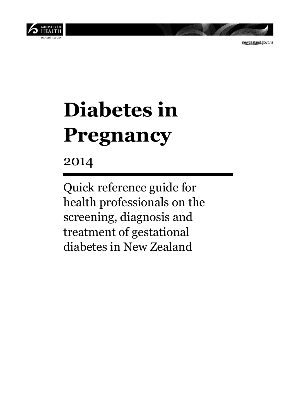

newzealand.govt.nz

# **Diabetes in Pregnancy**

2014

Quick reference guide for health professionals on the screening, diagnosis and treatment of gestational diabetes in New Zealand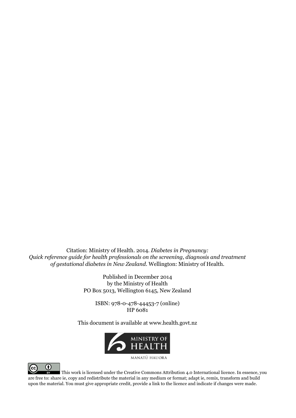Citation: Ministry of Health. 2014. *Diabetes in Pregnancy: Quick reference guide for health professionals on the screening, diagnosis and treatment of gestational diabetes in New Zealand*. Wellington: Ministry of Health.

> Published in December 2014 by the Ministry of Health PO Box 5013, Wellington 6145, New Zealand

ISBN: 978-0-478-44453-7 (online) HP 6081

This document is available at www.health.govt.nz



MANATU HAUORA



This work is licensed under the Creative Commons Attribution 4.0 International licence. In essence, you are free to: share ie, copy and redistribute the material in any medium or format; adapt ie, remix, transform and build upon the material. You must give appropriate credit, provide a link to the licence and indicate if changes were made.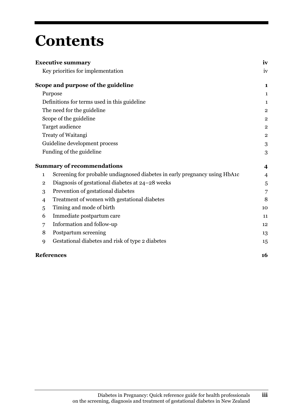## **Contents**

|                | <b>Executive summary</b>                                                   | iv             |
|----------------|----------------------------------------------------------------------------|----------------|
|                | Key priorities for implementation                                          | iv             |
|                | Scope and purpose of the guideline                                         | 1              |
|                | Purpose                                                                    | 1              |
|                | Definitions for terms used in this guideline                               | 1              |
|                | The need for the guideline                                                 | $\overline{c}$ |
|                | Scope of the guideline                                                     | $\overline{2}$ |
|                | Target audience                                                            | $\overline{2}$ |
|                | Treaty of Waitangi                                                         | $\overline{c}$ |
|                | Guideline development process                                              | 3              |
|                | Funding of the guideline                                                   | 3              |
|                | <b>Summary of recommendations</b>                                          | 4              |
| $\mathbf{1}$   | Screening for probable undiagnosed diabetes in early pregnancy using HbA1c | $\overline{4}$ |
| $\overline{2}$ | Diagnosis of gestational diabetes at 24–28 weeks                           | 5              |
| 3              | Prevention of gestational diabetes                                         | 7              |
| 4              | Treatment of women with gestational diabetes                               | 8              |
| 5              | Timing and mode of birth                                                   | 10             |
| 6              | Immediate postpartum care                                                  | 11             |
| 7              | Information and follow-up                                                  | 12             |
| 8              | Postpartum screening                                                       | 13             |
| 9              | Gestational diabetes and risk of type 2 diabetes                           | 15             |
|                | <b>References</b>                                                          | 16             |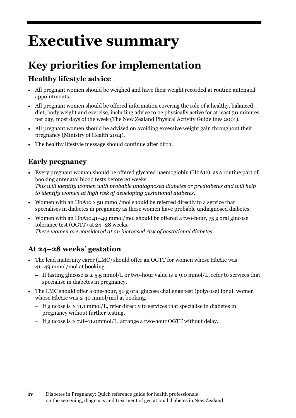# **Executive summary**

### **Key priorities for implementation**

#### **Healthy lifestyle advice**

- All pregnant women should be weighed and have their weight recorded at routine antenatal appointments.
- All pregnant women should be offered information covering the role of a healthy, balanced diet, body weight and exercise, including advice to be physically active for at least 30 minutes per day, most days of the week (The New Zealand Physical Activity Guidelines 2001).
- All pregnant women should be advised on avoiding excessive weight gain throughout their pregnancy (Ministry of Health 2014).
- The healthy lifestyle message should continue after birth.

#### **Early pregnancy**

- Every pregnant woman should be offered glycated haemoglobin (HbA1c), as a routine part of booking antenatal blood tests before 20 weeks. *This will identify women with probable undiagnosed diabetes or prediabetes and will help to identify women at high risk of developing gestational diabetes.*
- Women with an HbA1c  $\ge$  50 mmol/mol should be referred directly to a service that specialises in diabetes in pregnancy as these women have probable undiagnosed diabetes.
- Women with an HbA1c 41–49 mmol/mol should be offered a two-hour, 75 g oral glucose tolerance test (OGTT) at 24–28 weeks. *These women are considered at an increased risk of gestational diabetes.*

#### **At 24–28 weeks' gestation**

- The lead maternity carer (LMC) should offer an OGTT for women whose HbA1c was 41–49 mmol/mol at booking.
	- If fasting glucose is ≥ 5.5 mmol/L or two-hour value is ≥ 9.0 mmol/L, refer to services that specialise in diabetes in pregnancy.
- The LMC should offer a one-hour, 50 g oral glucose challenge test (polycose) for all women whose HbA1c was  $\leq$  40 mmol/mol at booking.
	- If glucose is ≥ 11.1 mmol/L, refer directly to services that specialise in diabetes in pregnancy without further testing.
	- If glucose is ≥ 7.8–11.0mmol/L, arrange a two-hour OGTT without delay.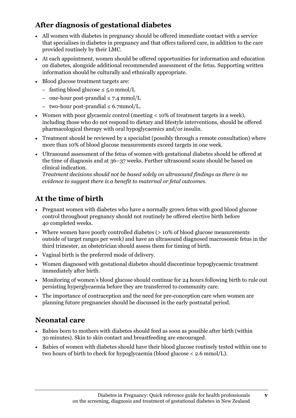#### **After diagnosis of gestational diabetes**

- All women with diabetes in pregnancy should be offered immediate contact with a service that specialises in diabetes in pregnancy and that offers tailored care, in addition to the care provided routinely by their LMC.
- At each appointment, women should be offered opportunities for information and education on diabetes, alongside additional recommended assessment of the fetus. Supporting written information should be culturally and ethnically appropriate.
- Blood glucose treatment targets are:
	- fasting blood glucose ≤ 5.0 mmol/L
	- one-hour post-prandial ≤ 7.4 mmol/L
	- two-hour post-prandial ≤ 6.7mmol/L.
- Women with poor glycaemic control (meeting < 10% of treatment targets in a week), including those who do not respond to dietary and lifestyle interventions, should be offered pharmacological therapy with oral hypoglycaemics and/or insulin.
- Treatment should be reviewed by a specialist (possibly through a remote consultation) where more than 10% of blood glucose measurements exceed targets in one week.
- Ultrasound assessment of the fetus of women with gestational diabetes should be offered at the time of diagnosis and at 36–37 weeks. Further ultrasound scans should be based on clinical indication.

*Treatment decisions should not be based solely on ultrasound findings as there is no evidence to suggest there is a benefit to maternal or fetal outcomes.*

#### **At the time of birth**

- Pregnant women with diabetes who have a normally grown fetus with good blood glucose control throughout pregnancy should not routinely be offered elective birth before 40 completed weeks.
- Where women have poorly controlled diabetes ( $> 10\%$  of blood glucose measurements outside of target ranges per week) and have an ultrasound diagnosed macrosomic fetus in the third trimester, an obstetrician should assess them for timing of birth.
- Vaginal birth is the preferred mode of delivery.
- Women diagnosed with gestational diabetes should discontinue hypoglycaemic treatment immediately after birth.
- Monitoring of women's blood glucose should continue for 24 hours following birth to rule out persisting hyperglycaemia before they are transferred to community care.
- The importance of contraception and the need for pre-conception care when women are planning future pregnancies should be discussed in the early postnatal period.

#### **Neonatal care**

- Babies born to mothers with diabetes should feed as soon as possible after birth (within 30 minutes). Skin to skin contact and breastfeeding are encouraged.
- Babies of women with diabetes should have their blood glucose routinely tested within one to two hours of birth to check for hypoglycaemia (blood glucose < 2.6 mmol/L).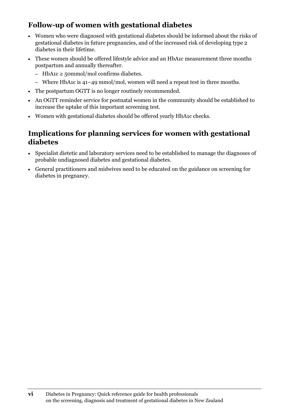#### **Follow-up of women with gestational diabetes**

- Women who were diagnosed with gestational diabetes should be informed about the risks of gestational diabetes in future pregnancies, and of the increased risk of developing type 2 diabetes in their lifetime.
- These women should be offered lifestyle advice and an HbA1c measurement three months postpartum and annually thereafter.
	- HbA1c ≥ 50mmol/mol confirms diabetes.
	- Where HbA1c is 41–49 mmol/mol, women will need a repeat test in three months.
- The postpartum OGTT is no longer routinely recommended.
- An OGTT reminder service for postnatal women in the community should be established to increase the uptake of this important screening test.
- Women with gestational diabetes should be offered yearly HbA1c checks.

#### **Implications for planning services for women with gestational diabetes**

- Specialist dietetic and laboratory services need to be established to manage the diagnoses of probable undiagnosed diabetes and gestational diabetes.
- General practitioners and midwives need to be educated on the guidance on screening for diabetes in pregnancy.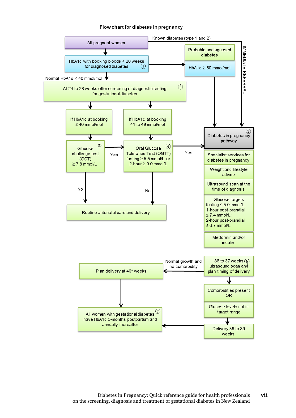#### Flow chart for diabetes in pregnancy

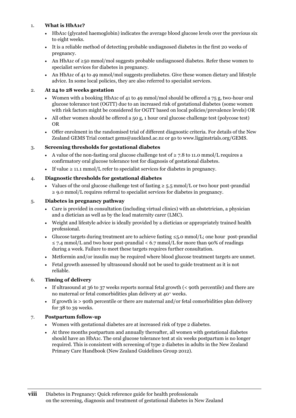#### 1. **What is HbA1c?**

- HbA1c (glycated haemoglobin) indicates the average blood glucose levels over the previous six to eight weeks.
- It is a reliable method of detecting probable undiagnosed diabetes in the first 20 weeks of pregnancy.
- An HbA1c of ≥50 mmol/mol suggests probable undiagnosed diabetes. Refer these women to specialist services for diabetes in pregnancy.
- An HbA1c of 41 to 49 mmol/mol suggests prediabetes. Give these women dietary and lifestyle advice. In some local policies, they are also referred to specialist services.

#### 2. **At 24 to 28 weeks gestation**

- Women with a booking HbA1c of 41 to 49 mmol/mol should be offered a 75 g, two-hour oral glucose tolerance test (OGTT) due to an increased risk of gestational diabetes (some women with risk factors might be considered for OGTT based on local policies/prevalence levels) OR
- All other women should be offered a 50 g, 1 hour oral glucose challenge test (polycose test) OR
- Offer enrolment in the randomised trial of different diagnostic criteria. For details of the New Zealand GEMS Trial contact [gems@auckland.ac.nz](mailto:gems@auckland.ac.nz) or go to [www.ligginstrials.org/GEMS.](http://www.ligginstrials.org/GEMS)

#### 3. **Screening thresholds for gestational diabetes**

- A value of the non-fasting oral glucose challenge test of  $\geq 7.8$  to 11.0 mmol/L requires a confirmatory oral glucose tolerance test for diagnosis of gestational diabetes.
- If value  $\geq 11.1$  mmol/L refer to specialist services for diabetes in pregnancy.

#### 4. **Diagnostic thresholds for gestational diabetes**

Values of the oral glucose challenge test of fasting  $\geq 5.5$  mmol/L or two hour post-prandial ≥ 9.0 mmol/L requires referral to specialist services for diabetes in pregnancy.

#### 5. **Diabetes in pregnancy pathway**

- Care is provided in consultation (including virtual clinics) with an obstetrician, a physician and a dietician as well as by the lead maternity carer (LMC).
- Weight and lifestyle advice is ideally provided by a dietician or appropriately trained health professional.
- Glucose targets during treatment are to achieve fasting  $\leq 5.0$  mmol/L; one hour post-prandial  $\leq$  7.4 mmol/L and two hour post-prandial  $\leq$  6.7 mmol/L for more than 90% of readings during a week. Failure to meet these targets requires further consultation.
- Metformin and/or insulin may be required where blood glucose treatment targets are unmet.
- Fetal growth assessed by ultrasound should not be used to guide treatment as it is not reliable.

#### 6. **Timing of delivery**

- If ultrasound at 36 to 37 weeks reports normal fetal growth (< 90th percentile) and there are no maternal or fetal comorbidities plan delivery at 40<sup>+</sup> weeks.
- If growth is > 90th percentile or there are maternal and/or fetal comorbidities plan delivery for 38 to 39 weeks.

#### 7. **Postpartum follow-up**

- Women with gestational diabetes are at increased risk of type 2 diabetes.
- At three months postpartum and annually thereafter, all women with gestational diabetes should have an HbA1c. The oral glucose tolerance test at six weeks postpartum is no longer required. This is consistent with screening of type 2 diabetes in adults in the New Zealand Primary Care Handbook (New Zealand Guidelines Group 2012).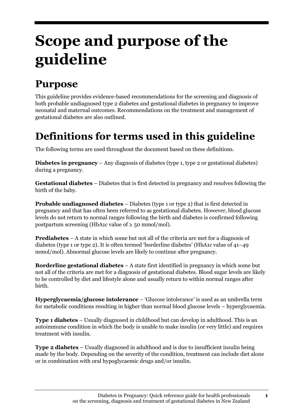# **Scope and purpose of the guideline**

### **Purpose**

This guideline provides evidence-based recommendations for the screening and diagnosis of both probable undiagnosed type 2 diabetes and gestational diabetes in pregnancy to improve neonatal and maternal outcomes. Recommendations on the treatment and management of gestational diabetes are also outlined.

### **Definitions for terms used in this guideline**

The following terms are used throughout the document based on these definitions.

**Diabetes in pregnancy** – Any diagnosis of diabetes (type 1, type 2 or gestational diabetes) during a pregnancy.

**Gestational diabetes** – Diabetes that is first detected in pregnancy and resolves following the birth of the baby.

**Probable undiagnosed diabetes** – Diabetes (type 1 or type 2) that is first detected in pregnancy and that has often been referred to as gestational diabetes. However, blood glucose levels do not return to normal ranges following the birth and diabetes is confirmed following postpartum screening (HbA1c value of  $\geq$  50 mmol/mol).

**Prediabetes** – A state in which some but not all of the criteria are met for a diagnosis of diabetes (type 1 or type 2). It is often termed 'borderline diabetes' (HbA1c value of 41–49 mmol/mol). Abnormal glucose levels are likely to continue after pregnancy.

**Borderline gestational diabetes** – A state first identified in pregnancy in which some but not all of the criteria are met for a diagnosis of gestational diabetes. Blood sugar levels are likely to be controlled by diet and lifestyle alone and usually return to within normal ranges after birth.

**Hyperglycaemia/glucose intolerance** – 'Glucose intolerance' is used as an umbrella term for metabolic conditions resulting in higher than normal blood glucose levels – hyperglycaemia.

**Type 1 diabetes** – Usually diagnosed in childhood but can develop in adulthood. This is an autoimmune condition in which the body is unable to make insulin (or very little) and requires treatment with insulin.

**Type 2 diabetes** – Usually diagnosed in adulthood and is due to insufficient insulin being made by the body. Depending on the severity of the condition, treatment can include diet alone or in combination with oral hypoglycaemic drugs and/or insulin.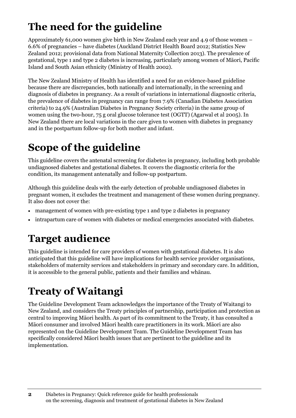### **The need for the guideline**

Approximately 61,000 women give birth in New Zealand each year and 4.9 of those women – 6.6% of pregnancies – have diabetes (Auckland District Health Board 2012; Statistics New Zealand 2012; provisional data from National Maternity Collection 2013). The prevalence of gestational, type 1 and type 2 diabetes is increasing, particularly among women of Māori, Pacific Island and South Asian ethnicity (Ministry of Health 2002).

The New Zealand Ministry of Health has identified a need for an evidence-based guideline because there are discrepancies, both nationally and internationally, in the screening and diagnosis of diabetes in pregnancy. As a result of variations in international diagnostic criteria, the prevalence of diabetes in pregnancy can range from 7.9% (Canadian Diabetes Association criteria) to 24.9% (Australian Diabetes in Pregnancy Society criteria) in the same group of women using the two-hour, 75 g oral glucose tolerance test (OGTT) (Agarwal et al 2005). In New Zealand there are local variations in the care given to women with diabetes in pregnancy and in the postpartum follow-up for both mother and infant.

### **Scope of the guideline**

This guideline covers the antenatal screening for diabetes in pregnancy, including both probable undiagnosed diabetes and gestational diabetes. It covers the diagnostic criteria for the condition, its management antenatally and follow-up postpartum.

Although this guideline deals with the early detection of probable undiagnosed diabetes in pregnant women, it excludes the treatment and management of these women during pregnancy. It also does not cover the:

- management of women with pre-existing type 1 and type 2 diabetes in pregnancy
- intrapartum care of women with diabetes or medical emergencies associated with diabetes.

### **Target audience**

This guideline is intended for care providers of women with gestational diabetes. It is also anticipated that this guideline will have implications for health service provider organisations, stakeholders of maternity services and stakeholders in primary and secondary care. In addition, it is accessible to the general public, patients and their families and whānau.

### **Treaty of Waitangi**

The Guideline Development Team acknowledges the importance of the Treaty of Waitangi to New Zealand, and considers the Treaty principles of partnership, participation and protection as central to improving Māori health. As part of its commitment to the Treaty, it has consulted a Māori consumer and involved Māori health care practitioners in its work. Māori are also represented on the Guideline Development Team. The Guideline Development Team has specifically considered Māori health issues that are pertinent to the guideline and its implementation.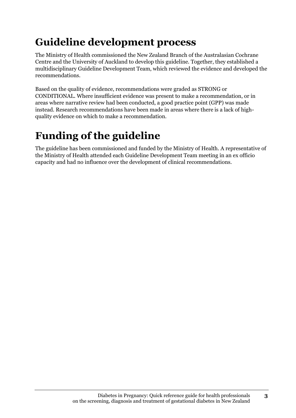### **Guideline development process**

The Ministry of Health commissioned the New Zealand Branch of the Australasian Cochrane Centre and the University of Auckland to develop this guideline. Together, they established a multidisciplinary Guideline Development Team, which reviewed the evidence and developed the recommendations.

Based on the quality of evidence, recommendations were graded as STRONG or CONDITIONAL. Where insufficient evidence was present to make a recommendation, or in areas where narrative review had been conducted, a good practice point (GPP) was made instead. Research recommendations have been made in areas where there is a lack of highquality evidence on which to make a recommendation.

### **Funding of the guideline**

The guideline has been commissioned and funded by the Ministry of Health. A representative of the Ministry of Health attended each Guideline Development Team meeting in an ex officio capacity and had no influence over the development of clinical recommendations.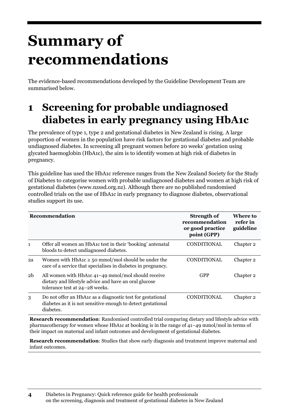# **Summary of recommendations**

The evidence-based recommendations developed by the Guideline Development Team are summarised below.

### **1 Screening for probable undiagnosed diabetes in early pregnancy using HbA1c**

The prevalence of type 1, type 2 and gestational diabetes in New Zealand is rising. A large proportion of women in the population have risk factors for gestational diabetes and probable undiagnosed diabetes. In screening all pregnant women before 20 weeks' gestation using glycated haemoglobin (HbA1c), the aim is to identify women at high risk of diabetes in pregnancy.

This guideline has used the HbA1c reference ranges from the New Zealand Society for the Study of Diabetes to categorise women with probable undiagnosed diabetes and women at high risk of gestational diabetes [\(www.nzssd.org.nz\)](http://www.nzssd.org.nz/). Although there are no published randomised controlled trials on the use of HbA1c in early pregnancy to diagnose diabetes, observational studies support its use.

|                | <b>Recommendation</b>                                                                                                                         | Strength of<br>recommendation<br>or good practice<br>point (GPP) | Where to<br>refer in<br>guideline |
|----------------|-----------------------------------------------------------------------------------------------------------------------------------------------|------------------------------------------------------------------|-----------------------------------|
| $\mathbf{1}$   | Offer all women an HbA <sub>1</sub> c test in their 'booking' antenatal<br>bloods to detect undiagnosed diabetes.                             | CONDITIONAL                                                      | Chapter 2                         |
| 2a             | Women with HbA1c $\geq$ 50 mmol/mol should be under the<br>care of a service that specialises in diabetes in pregnancy.                       | <b>CONDITIONAL</b>                                               | Chapter 2                         |
| 2 <sub>b</sub> | All women with HbA1c 41-49 mmol/mol should receive<br>dietary and lifestyle advice and have an oral glucose<br>tolerance test at 24-28 weeks. | <b>GPP</b>                                                       | Chapter <sub>2</sub>              |
| 3              | Do not offer an HbA1c as a diagnostic test for gestational<br>diabetes as it is not sensitive enough to detect gestational<br>diabetes.       | <b>CONDITIONAL</b>                                               | Chapter 2                         |

**Research recommendation**: Randomised controlled trial comparing dietary and lifestyle advice with pharmacotherapy for women whose HbA1c at booking is in the range of 41–49 mmol/mol in terms of their impact on maternal and infant outcomes and development of gestational diabetes.

**Research recommendation**: Studies that show early diagnosis and treatment improve maternal and infant outcomes.

**<sup>4</sup>** Diabetes in Pregnancy: Quick reference guide for health professionals on the screening, diagnosis and treatment of gestational diabetes in New Zealand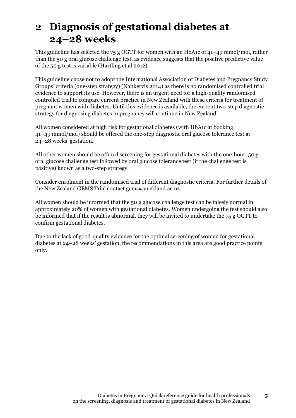### **2 Diagnosis of gestational diabetes at 24–28 weeks**

This guideline has selected the 75 g OGTT for women with an HbA1c of 41–49 mmol/mol, rather than the 50 g oral glucose challenge test, as evidence suggests that the positive predictive value of the 50 g test is variable (Hartling et al 2012).

This guideline chose not to adopt the International Association of Diabetes and Pregnancy Study Groups' criteria (one-step strategy) (Nankervis 2014) as there is no randomised controlled trial evidence to support its use. However, there is an urgent need for a high-quality randomised controlled trial to compare current practice in New Zealand with these criteria for treatment of pregnant women with diabetes. Until this evidence is available, the current two-step diagnostic strategy for diagnosing diabetes in pregnancy will continue in New Zealand.

All women considered at high risk for gestational diabetes (with HbA1c at booking 41–49 mmol/mol) should be offered the one-step diagnostic oral glucose tolerance test at 24–28 weeks' gestation.

All other women should be offered screening for gestational diabetes with the one-hour, 50 g oral glucose challenge test followed by oral glucose tolerance test (if the challenge test is positive) known as a two-step strategy.

Consider enrolment in the randomised trial of different diagnostic criteria. For further details of the New Zealand GEMS Trial contact [gems@auckland.ac.nz.](mailto:gems@auckland.ac.nz)

All women should be informed that the 50 g glucose challenge test can be falsely normal in approximately 20% of women with gestational diabetes. Women undergoing the test should also be informed that if the result is abnormal, they will be invited to undertake the 75 g OGTT to confirm gestational diabetes.

Due to the lack of good-quality evidence for the optimal screening of women for gestational diabetes at 24–28 weeks' gestation, the recommendations in this area are good practice points only.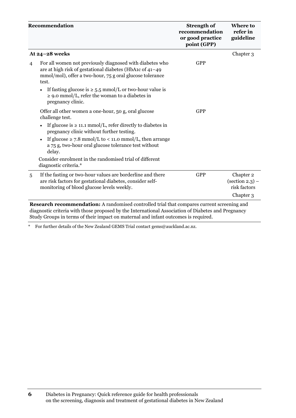|                | Recommendation                                                                                                                                                                                                                                                                                | <b>Strength of</b><br>recommendation<br>or good practice<br>point (GPP) | <b>Where to</b><br>refer in<br>guideline                                        |
|----------------|-----------------------------------------------------------------------------------------------------------------------------------------------------------------------------------------------------------------------------------------------------------------------------------------------|-------------------------------------------------------------------------|---------------------------------------------------------------------------------|
|                | At 24-28 weeks                                                                                                                                                                                                                                                                                |                                                                         | Chapter 3                                                                       |
| $\overline{4}$ | For all women not previously diagnosed with diabetes who<br>are at high risk of gestational diabetes (HbA1c of 41-49<br>mmol/mol), offer a two-hour, 75 g oral glucose tolerance<br>test.                                                                                                     | <b>GPP</b>                                                              |                                                                                 |
|                | If fasting glucose is $\geq 5.5$ mmol/L or two-hour value is<br>$\bullet$<br>$\geq$ 9.0 mmol/L, refer the woman to a diabetes in<br>pregnancy clinic.                                                                                                                                         |                                                                         |                                                                                 |
|                | Offer all other women a one-hour, 50 g, oral glucose<br>challenge test.                                                                                                                                                                                                                       | <b>GPP</b>                                                              |                                                                                 |
|                | If glucose is $\geq$ 11.1 mmol/L, refer directly to diabetes in<br>pregnancy clinic without further testing.                                                                                                                                                                                  |                                                                         |                                                                                 |
|                | If glucose $\geq$ 7.8 mmol/L to < 11.0 mmol/L, then arrange<br>a 75 g, two-hour oral glucose tolerance test without<br>delay.                                                                                                                                                                 |                                                                         |                                                                                 |
|                | Consider enrolment in the randomised trial of different<br>diagnostic criteria.*                                                                                                                                                                                                              |                                                                         |                                                                                 |
| 5              | If the fasting or two-hour values are borderline and there<br>are risk factors for gestational diabetes, consider self-<br>monitoring of blood glucose levels weekly.                                                                                                                         | <b>GPP</b>                                                              | Chapter 2<br>$\left( \text{section 2.3} \right)$ –<br>risk factors<br>Chapter 3 |
|                | <b>Research recommendation:</b> A randomised controlled trial that compares current screening and<br>diagnostic criteria with those proposed by the International Association of Diabetes and Pregnancy<br>Study Groups in terms of their impact on maternal and infant outcomes is required. |                                                                         |                                                                                 |

\* For further details of the New Zealand GEMS Trial contact [gems@auckland.ac.nz.](mailto:gems@auckland.ac.nz)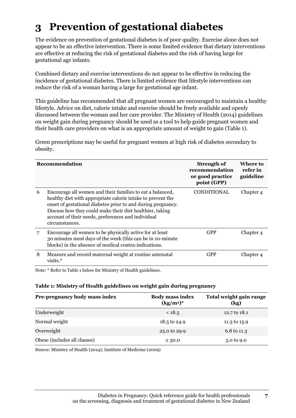### **3 Prevention of gestational diabetes**

The evidence on prevention of gestational diabetes is of poor quality. Exercise alone does not appear to be an effective intervention. There is some limited evidence that dietary interventions are effective at reducing the risk of gestational diabetes and the risk of having large for gestational age infants.

Combined dietary and exercise interventions do not appear to be effective in reducing the incidence of gestational diabetes. There is limited evidence that lifestyle interventions can reduce the risk of a woman having a large for gestational age infant.

This guideline has recommended that all pregnant women are encouraged to maintain a healthy lifestyle. Advice on diet, calorie intake and exercise should be freely available and openly discussed between the woman and her care provider. The Ministry of Health (2014) guidelines on weight gain during pregnancy should be used as a tool to help guide pregnant women and their health care providers on what is an appropriate amount of weight to gain (Table 1).

Green prescriptions may be useful for pregnant women at high risk of diabetes secondary to obesity.

|   | Recommendation                                                                                                                                                                                                                                                                                                               | Strength of<br>recommendation<br>or good practice<br>point (GPP) | Where to<br>refer in<br>guideline |
|---|------------------------------------------------------------------------------------------------------------------------------------------------------------------------------------------------------------------------------------------------------------------------------------------------------------------------------|------------------------------------------------------------------|-----------------------------------|
| 6 | Encourage all women and their families to eat a balanced,<br>healthy diet with appropriate calorie intake to prevent the<br>onset of gestational diabetes prior to and during pregnancy.<br>Discuss how they could make their diet healthier, taking<br>account of their needs, preferences and individual<br>circumstances. | <b>CONDITIONAL</b>                                               | Chapter 4                         |
| 7 | Encourage all women to be physically active for at least<br>30 minutes most days of the week (this can be in 10-minute)<br>blocks) in the absence of medical contra-indications.                                                                                                                                             | <b>GPP</b>                                                       | Chapter 4                         |
| 8 | Measure and record maternal weight at routine antenatal<br>visits.*                                                                                                                                                                                                                                                          | <b>GPP</b>                                                       | Chapter 4                         |

Note: \* Refer to Table 1 below for Ministry of Health guidelines.

#### **Table 1: Ministry of Health guidelines on weight gain during pregnancy**

| Pre-pregnancy body mass index | <b>Body mass index</b><br>$(kg/m^2)^*$ | Total weight gain range<br>$\left(\text{kg}\right)$ |
|-------------------------------|----------------------------------------|-----------------------------------------------------|
| Underweight                   | < 18.5                                 | 12.7 to 18.1                                        |
| Normal weight                 | 18.5 to 24.9                           | 11.3 to 15.9                                        |
| Overweight                    | 25.0 to 29.9                           | 6.8 to 11.3                                         |
| Obese (includes all classes)  | $\geq 30.0$                            | 5.0 to 9.0                                          |

Source: Ministry of Health (2014); Institute of Medicine (2009)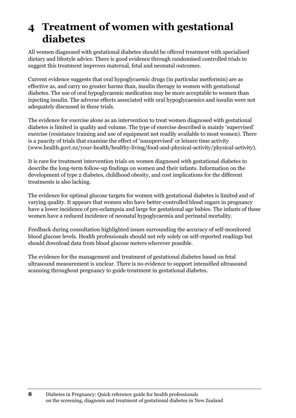### **4 Treatment of women with gestational diabetes**

All women diagnosed with gestational diabetes should be offered treatment with specialised dietary and lifestyle advice. There is good evidence through randomised controlled trials to suggest this treatment improves maternal, fetal and neonatal outcomes.

Current evidence suggests that oral hypoglycaemic drugs (in particular metformin) are as effective as, and carry no greater harms than, insulin therapy in women with gestational diabetes. The use of oral hypoglycaemic medication may be more acceptable to women than injecting insulin. The adverse effects associated with oral hypoglycaemics and insulin were not adequately discussed in these trials.

The evidence for exercise alone as an intervention to treat women diagnosed with gestational diabetes is limited in quality and volume. The type of exercise described is mainly 'supervised' exercise (resistance training and use of equipment not readily available to most women). There is a paucity of trials that examine the effect of 'unsupervised' or leisure time activity [\(www.health.govt.nz/your-health/healthy-living/food-and-physical-activity/physical-activity\)](http://www.health.govt.nz/your-health/healthy-living/food-and-physical-activity/physical-activity).

It is rare for treatment intervention trials on women diagnosed with gestational diabetes to describe the long-term follow-up findings on women and their infants. Information on the development of type 2 diabetes, childhood obesity, and cost implications for the different treatments is also lacking.

The evidence for optimal glucose targets for women with gestational diabetes is limited and of varying quality. It appears that women who have better-controlled blood sugars in pregnancy have a lower incidence of pre-eclampsia and large for gestational age babies. The infants of these women have a reduced incidence of neonatal hypoglycaemia and perinatal mortality.

Feedback during consultation highlighted issues surrounding the accuracy of self-monitored blood glucose levels. Health professionals should not rely solely on self-reported readings but should download data from blood glucose meters wherever possible.

The evidence for the management and treatment of gestational diabetes based on fetal ultrasound measurement is unclear. There is no evidence to support intensified ultrasound scanning throughout pregnancy to guide treatment in gestational diabetes.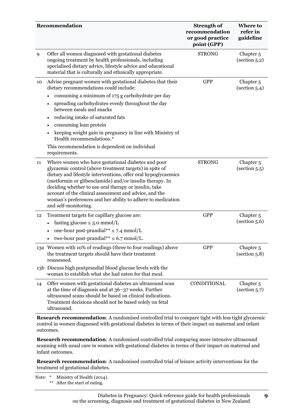|    | Recommendation                                                                                                                                                                                                                                                                                                                                                                                                                                       | <b>Strength of</b><br>recommendation<br>or good practice<br>point (GPP) | <b>Where to</b><br>refer in<br>guideline      |
|----|------------------------------------------------------------------------------------------------------------------------------------------------------------------------------------------------------------------------------------------------------------------------------------------------------------------------------------------------------------------------------------------------------------------------------------------------------|-------------------------------------------------------------------------|-----------------------------------------------|
| 9  | Offer all women diagnosed with gestational diabetes<br>ongoing treatment by health professionals, including<br>specialised dietary advice, lifestyle advice and educational<br>material that is culturally and ethnically appropriate.                                                                                                                                                                                                               | <b>STRONG</b>                                                           | Chapter <sub>5</sub><br>(section 5.2)         |
| 10 | Advise pregnant women with gestational diabetes that their<br>dietary recommendations could include:                                                                                                                                                                                                                                                                                                                                                 | <b>GPP</b>                                                              | Chapter <sub>5</sub><br>(section 5.4)         |
|    | consuming a minimum of 175 g carbohydrate per day<br>spreading carbohydrates evenly throughout the day<br>between meals and snacks                                                                                                                                                                                                                                                                                                                   |                                                                         |                                               |
|    | reducing intake of saturated fats<br>٠                                                                                                                                                                                                                                                                                                                                                                                                               |                                                                         |                                               |
|    | consuming lean protein                                                                                                                                                                                                                                                                                                                                                                                                                               |                                                                         |                                               |
|    | keeping weight gain in pregnancy in line with Ministry of<br>Health recommendations.*                                                                                                                                                                                                                                                                                                                                                                |                                                                         |                                               |
|    | This recommendation is dependent on individual<br>requirements.                                                                                                                                                                                                                                                                                                                                                                                      |                                                                         |                                               |
| 11 | Where women who have gestational diabetes and poor<br>glycaemic control (above treatment targets) in spite of<br>dietary and lifestyle interventions, offer oral hypoglycaemics<br>(metformin or glibenclamide) and/or insulin therapy. In<br>deciding whether to use oral therapy or insulin, take<br>account of the clinical assessment and advice, and the<br>woman's preferences and her ability to adhere to medication<br>and self-monitoring. | <b>STRONG</b>                                                           | Chapter <sub>5</sub><br>(section 5.5)         |
| 12 | Treatment targets for capillary glucose are:                                                                                                                                                                                                                                                                                                                                                                                                         | <b>GPP</b>                                                              | Chapter <sub>5</sub>                          |
|    | fasting glucose $\leq 5.0$ mmol/L                                                                                                                                                                                                                                                                                                                                                                                                                    |                                                                         | (section 5.6)                                 |
|    | one-hour post-prandial** $\leq$ 7.4 mmol/L<br>$\bullet$                                                                                                                                                                                                                                                                                                                                                                                              |                                                                         |                                               |
|    | two-hour post-prandial** $\leq 6.7$ mmol/L.                                                                                                                                                                                                                                                                                                                                                                                                          |                                                                         |                                               |
|    | 13a Women with 10% of readings (three to four readings) above<br>the treatment targets should have their treatment<br>reassessed.                                                                                                                                                                                                                                                                                                                    | <b>GPP</b>                                                              | Chapter <sub>5</sub><br>(section 5.8)         |
|    | 13b Discuss high postprandial blood glucose levels with the<br>woman to establish what she had eaten for that meal.                                                                                                                                                                                                                                                                                                                                  |                                                                         |                                               |
| 14 | Offer women with gestational diabetes an ultrasound scan<br>at the time of diagnosis and at 36–37 weeks. Further<br>ultrasound scans should be based on clinical indications.<br>Treatment decisions should not be based solely on fetal<br>ultrasound.                                                                                                                                                                                              | CONDITIONAL                                                             | Chapter <sub>5</sub><br>$\left($ section 5.7) |

**Research recommendation**: A randomised controlled trial to compare tight with less tight glycaemic control in women diagnosed with gestational diabetes in terms of their impact on maternal and infant outcomes.

**Research recommendation**: A randomised controlled trial comparing more intensive ultrasound scanning with usual care in women with gestational diabetes in terms of their impact on maternal and infant outcomes.

**Research recommendation**: A randomised controlled trial of leisure activity interventions for the treatment of gestational diabetes.

Note: \* Ministry of Health (2014). \*\* After the start of eating.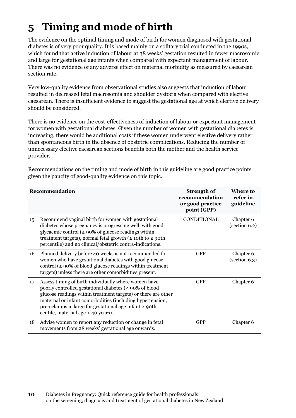### **5 Timing and mode of birth**

The evidence on the optimal timing and mode of birth for women diagnosed with gestational diabetes is of very poor quality. It is based mainly on a solitary trial conducted in the 1990s, which found that active induction of labour at 38 weeks' gestation resulted in fewer macrosomic and large for gestational age infants when compared with expectant management of labour. There was no evidence of any adverse effect on maternal morbidity as measured by caesarean section rate.

Very low-quality evidence from observational studies also suggests that induction of labour resulted in decreased fetal macrosomia and shoulder dystocia when compared with elective caesarean. There is insufficient evidence to suggest the gestational age at which elective delivery should be considered.

There is no evidence on the cost-effectiveness of induction of labour or expectant management for women with gestational diabetes. Given the number of women with gestational diabetes is increasing, there would be additional costs if these women underwent elective delivery rather than spontaneous birth in the absence of obstetric complications. Reducing the number of unnecessary elective caesarean sections benefits both the mother and the health service provider.

|    | Recommendation                                                                                                                                                                                                                                                                                                                               | <b>Strength of</b><br>recommendation<br>or good practice<br>point (GPP) | Where to<br>refer in<br>guideline                 |
|----|----------------------------------------------------------------------------------------------------------------------------------------------------------------------------------------------------------------------------------------------------------------------------------------------------------------------------------------------|-------------------------------------------------------------------------|---------------------------------------------------|
| 15 | Recommend vaginal birth for women with gestational<br>diabetes whose pregnancy is progressing well, with good<br>glycaemic control ( $\geq 90\%$ of glucose readings within<br>treatment targets), normal fetal growth ( $\geq$ 10th to $\leq$ 90th<br>percentile) and no clinical/obstetric contra-indications.                             | CONDITIONAL                                                             | Chapter 6<br>(section 6.2)                        |
| 16 | Planned delivery before 40 weeks is not recommended for<br>women who have gestational diabetes with good glucose<br>control ( $\geq 90\%$ of blood glucose readings within treatment<br>targets) unless there are other comorbidities present.                                                                                               | <b>GPP</b>                                                              | Chapter 6<br>$\left( \text{section } 6.3 \right)$ |
| 17 | Assess timing of birth individually where women have<br>poorly controlled gestational diabetes (< 90% of blood<br>glucose readings within treatment targets) or there are other<br>maternal or infant comorbidities (including hypertension,<br>pre-eclampsia, large for gestational age infant > 90th<br>centile, maternal age > 40 years). | <b>GPP</b>                                                              | Chapter 6                                         |
| 18 | Advise women to report any reduction or change in fetal<br>movements from 28 weeks' gestational age onwards.                                                                                                                                                                                                                                 | <b>GPP</b>                                                              | Chapter 6                                         |

Recommendations on the timing and mode of birth in this guideline are good practice points given the paucity of good-quality evidence on this topic.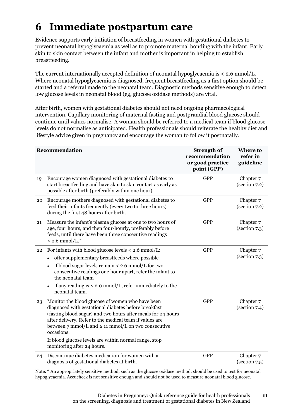### **6 Immediate postpartum care**

Evidence supports early initiation of breastfeeding in women with gestational diabetes to prevent neonatal hypoglycaemia as well as to promote maternal bonding with the infant. Early skin to skin contact between the infant and mother is important in helping to establish breastfeeding.

The current internationally accepted definition of neonatal hypoglycaemia is  $\lt$  2.6 mmol/L. Where neonatal hypoglycaemia is diagnosed, frequent breastfeeding as a first option should be started and a referral made to the neonatal team. Diagnostic methods sensitive enough to detect low glucose levels in neonatal blood (eg, glucose oxidase methods) are vital.

After birth, women with gestational diabetes should not need ongoing pharmacological intervention. Capillary monitoring of maternal fasting and postprandial blood glucose should continue until values normalise. A woman should be referred to a medical team if blood glucose levels do not normalise as anticipated. Health professionals should reiterate the healthy diet and lifestyle advice given in pregnancy and encourage the woman to follow it postnatally.

|    | Recommendation                                                                                                                                                                                                                                                                                                                                                                                                         | <b>Strength of</b><br>recommendation<br>or good practice<br>point (GPP) | Where to<br>refer in<br>guideline                 |
|----|------------------------------------------------------------------------------------------------------------------------------------------------------------------------------------------------------------------------------------------------------------------------------------------------------------------------------------------------------------------------------------------------------------------------|-------------------------------------------------------------------------|---------------------------------------------------|
| 19 | Encourage women diagnosed with gestational diabetes to<br>start breastfeeding and have skin to skin contact as early as<br>possible after birth (preferably within one hour).                                                                                                                                                                                                                                          | <b>GPP</b>                                                              | Chapter 7<br>(section 7.2)                        |
| 20 | Encourage mothers diagnosed with gestational diabetes to<br>feed their infants frequently (every two to three hours)<br>during the first 48 hours after birth.                                                                                                                                                                                                                                                         | <b>GPP</b>                                                              | Chapter 7<br>$\left( \text{section } 7.2 \right)$ |
| 21 | Measure the infant's plasma glucose at one to two hours of<br>age, four hours, and then four-hourly, preferably before<br>feeds, until there have been three consecutive readings<br>$> 2.6$ mmol/L.*                                                                                                                                                                                                                  | <b>GPP</b>                                                              | Chapter 7<br>$\left( \text{section } 7.3 \right)$ |
| 22 | For infants with blood glucose levels $<$ 2.6 mmol/L:<br>offer supplementary breastfeeds where possible<br>if blood sugar levels remain $<$ 2.6 mmol/L for two<br>consecutive readings one hour apart, refer the infant to<br>the neonatal team<br>if any reading is $\leq$ 2.0 mmol/L, refer immediately to the<br>neonatal team.                                                                                     | <b>GPP</b>                                                              | Chapter 7<br>(section 7.3)                        |
| 23 | Monitor the blood glucose of women who have been<br>diagnosed with gestational diabetes before breakfast<br>(fasting blood sugar) and two hours after meals for 24 hours<br>after delivery. Refer to the medical team if values are<br>between $7 \text{ mmol/L}$ and $\geq 11 \text{ mmol/L}$ on two consecutive<br>occasions.<br>If blood glucose levels are within normal range, stop<br>monitoring after 24 hours. | <b>GPP</b>                                                              | Chapter 7<br>$\left( \text{section } 7.4 \right)$ |
| 24 | Discontinue diabetes medication for women with a<br>diagnosis of gestational diabetes at birth.                                                                                                                                                                                                                                                                                                                        | <b>GPP</b>                                                              | Chapter 7<br>$\left( \text{section } 7.5 \right)$ |

Note: \* An appropriately sensitive method, such as the glucose oxidase method, should be used to test for neonatal hypoglycaemia. Accucheck is not sensitive enough and should not be used to measure neonatal blood glucose.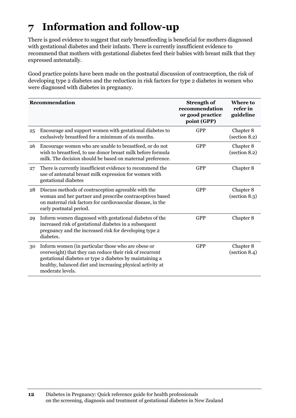### **7 Information and follow-up**

There is good evidence to suggest that early breastfeeding is beneficial for mothers diagnosed with gestational diabetes and their infants. There is currently insufficient evidence to recommend that mothers with gestational diabetes feed their babies with breast milk that they expressed antenatally.

Good practice points have been made on the postnatal discussion of contraception, the risk of developing type 2 diabetes and the reduction in risk factors for type 2 diabetes in women who were diagnosed with diabetes in pregnancy.

|    | Recommendation                                                                                                                                                                                                                                               | <b>Strength of</b><br>recommendation<br>or good practice<br>point (GPP) | <b>Where to</b><br>refer in<br>guideline |
|----|--------------------------------------------------------------------------------------------------------------------------------------------------------------------------------------------------------------------------------------------------------------|-------------------------------------------------------------------------|------------------------------------------|
| 25 | Encourage and support women with gestational diabetes to<br>exclusively breastfeed for a minimum of six months.                                                                                                                                              | <b>GPP</b>                                                              | Chapter 8<br>(section 8.2)               |
| 26 | Encourage women who are unable to breastfeed, or do not<br>wish to breastfeed, to use donor breast milk before formula<br>milk. The decision should be based on maternal preference.                                                                         | <b>GPP</b>                                                              | Chapter 8<br>(section 8.2)               |
| 27 | There is currently insufficient evidence to recommend the<br>use of antenatal breast milk expression for women with<br>gestational diabetes                                                                                                                  | <b>GPP</b>                                                              | Chapter 8                                |
| 28 | Discuss methods of contraception agreeable with the<br>woman and her partner and prescribe contraceptives based<br>on maternal risk factors for cardiovascular disease, in the<br>early postnatal period.                                                    | <b>GPP</b>                                                              | Chapter 8<br>(section 8.3)               |
| 29 | Inform women diagnosed with gestational diabetes of the<br>increased risk of gestational diabetes in a subsequent<br>pregnancy and the increased risk for developing type 2<br>diabetes.                                                                     | <b>GPP</b>                                                              | Chapter 8                                |
| 30 | Inform women (in particular those who are obese or<br>overweight) that they can reduce their risk of recurrent<br>gestational diabetes or type 2 diabetes by maintaining a<br>healthy, balanced diet and increasing physical activity at<br>moderate levels. | <b>GPP</b>                                                              | Chapter 8<br>(section 8.4)               |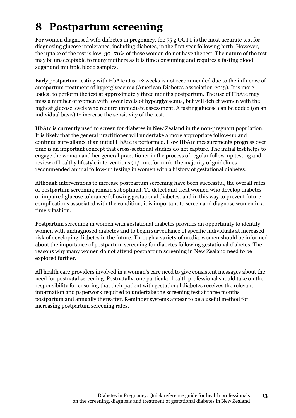### **8 Postpartum screening**

For women diagnosed with diabetes in pregnancy, the 75 g OGTT is the most accurate test for diagnosing glucose intolerance, including diabetes, in the first year following birth. However, the uptake of the test is low: 30–70% of these women do not have the test. The nature of the test may be unacceptable to many mothers as it is time consuming and requires a fasting blood sugar and multiple blood samples.

Early postpartum testing with HbA1c at 6–12 weeks is not recommended due to the influence of antepartum treatment of hyperglycaemia (American Diabetes Association 2013). It is more logical to perform the test at approximately three months postpartum. The use of HbA1c may miss a number of women with lower levels of hyperglycaemia, but will detect women with the highest glucose levels who require immediate assessment. A fasting glucose can be added (on an individual basis) to increase the sensitivity of the test.

HbA1c is currently used to screen for diabetes in New Zealand in the non-pregnant population. It is likely that the general practitioner will undertake a more appropriate follow-up and continue surveillance if an initial HbA1c is performed. How HbA1c measurements progress over time is an important concept that cross-sectional studies do not capture. The initial test helps to engage the woman and her general practitioner in the process of regular follow-up testing and review of healthy lifestyle interventions (+/- metformin). The majority of guidelines recommended annual follow-up testing in women with a history of gestational diabetes.

Although interventions to increase postpartum screening have been successful, the overall rates of postpartum screening remain suboptimal. To detect and treat women who develop diabetes or impaired glucose tolerance following gestational diabetes, and in this way to prevent future complications associated with the condition, it is important to screen and diagnose women in a timely fashion.

Postpartum screening in women with gestational diabetes provides an opportunity to identify women with undiagnosed diabetes and to begin surveillance of specific individuals at increased risk of developing diabetes in the future. Through a variety of media, women should be informed about the importance of postpartum screening for diabetes following gestational diabetes. The reasons why many women do not attend postpartum screening in New Zealand need to be explored further.

All health care providers involved in a woman's care need to give consistent messages about the need for postnatal screening. Postnatally, one particular health professional should take on the responsibility for ensuring that their patient with gestational diabetes receives the relevant information and paperwork required to undertake the screening test at three months postpartum and annually thereafter. Reminder systems appear to be a useful method for increasing postpartum screening rates.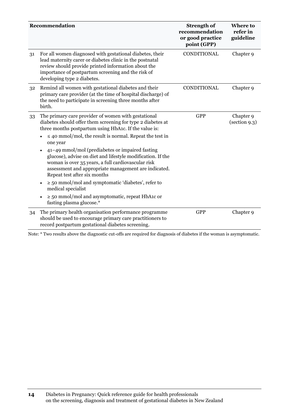|    | Recommendation                                                                                                                                                                                                                                                   | <b>Strength of</b><br>recommendation<br>or good practice<br>point (GPP) | <b>Where to</b><br>refer in<br>guideline |
|----|------------------------------------------------------------------------------------------------------------------------------------------------------------------------------------------------------------------------------------------------------------------|-------------------------------------------------------------------------|------------------------------------------|
| 31 | For all women diagnosed with gestational diabetes, their<br>lead maternity carer or diabetes clinic in the postnatal<br>review should provide printed information about the<br>importance of postpartum screening and the risk of<br>developing type 2 diabetes. | CONDITIONAL                                                             | Chapter 9                                |
| 32 | Remind all women with gestational diabetes and their<br>primary care provider (at the time of hospital discharge) of<br>the need to participate in screening three months after<br>birth.                                                                        | CONDITIONAL                                                             | Chapter 9                                |
| 33 | The primary care provider of women with gestational<br>diabetes should offer them screening for type 2 diabetes at<br>three months postpartum using HbA1c. If the value is:                                                                                      | <b>GPP</b>                                                              | Chapter 9<br>(section 9.3)               |
|    | $\leq$ 40 mmol/mol, the result is normal. Repeat the test in<br>one year                                                                                                                                                                                         |                                                                         |                                          |
|    | 41–49 mmol/mol (prediabetes or impaired fasting<br>glucose), advise on diet and lifestyle modification. If the<br>woman is over 35 years, a full cardiovascular risk<br>assessment and appropriate management are indicated.<br>Repeat test after six months     |                                                                         |                                          |
|    | $\ge$ 50 mmol/mol and symptomatic 'diabetes', refer to<br>medical specialist                                                                                                                                                                                     |                                                                         |                                          |
|    | $\ge$ 50 mmol/mol and asymptomatic, repeat HbA1c or<br>fasting plasma glucose.*                                                                                                                                                                                  |                                                                         |                                          |
| 34 | The primary health organisation performance programme<br>should be used to encourage primary care practitioners to<br>record postpartum gestational diabetes screening.                                                                                          | <b>GPP</b>                                                              | Chapter 9                                |

Note: \* Two results above the diagnostic cut-offs are required for diagnosis of diabetes if the woman is asymptomatic.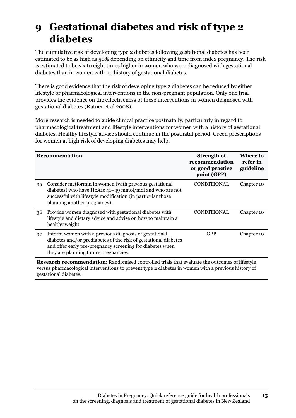### **9 Gestational diabetes and risk of type 2 diabetes**

The cumulative risk of developing type 2 diabetes following gestational diabetes has been estimated to be as high as 50% depending on ethnicity and time from index pregnancy. The risk is estimated to be six to eight times higher in women who were diagnosed with gestational diabetes than in women with no history of gestational diabetes.

There is good evidence that the risk of developing type 2 diabetes can be reduced by either lifestyle or pharmacological interventions in the non-pregnant population. Only one trial provides the evidence on the effectiveness of these interventions in women diagnosed with gestational diabetes (Ratner et al 2008).

More research is needed to guide clinical practice postnatally, particularly in regard to pharmacological treatment and lifestyle interventions for women with a history of gestational diabetes. Healthy lifestyle advice should continue in the postnatal period. Green prescriptions for women at high risk of developing diabetes may help.

|    | Recommendation                                                                                                                                                                                                                 | <b>Strength of</b><br>recommendation<br>or good practice<br>point (GPP) | Where to<br>refer in<br>guideline |
|----|--------------------------------------------------------------------------------------------------------------------------------------------------------------------------------------------------------------------------------|-------------------------------------------------------------------------|-----------------------------------|
| 35 | Consider metformin in women (with previous gestational<br>diabetes) who have HbA1c 41-49 mmol/mol and who are not<br>successful with lifestyle modification (in particular those<br>planning another pregnancy).               | <b>CONDITIONAL</b>                                                      | Chapter 10                        |
| 36 | Provide women diagnosed with gestational diabetes with<br>lifestyle and dietary advice and advise on how to maintain a<br>healthy weight.                                                                                      | CONDITIONAL                                                             | Chapter 10                        |
| 37 | Inform women with a previous diagnosis of gestational<br>diabetes and/or prediabetes of the risk of gestational diabetes<br>and offer early pre-pregnancy screening for diabetes when<br>they are planning future pregnancies. | GPP                                                                     | Chapter 10                        |
|    | <b>Research recommendation:</b> Randomised controlled trials that evaluate the outcomes of lifestyle                                                                                                                           |                                                                         |                                   |

versus pharmacological interventions to prevent type 2 diabetes in women with a previous history of gestational diabetes.